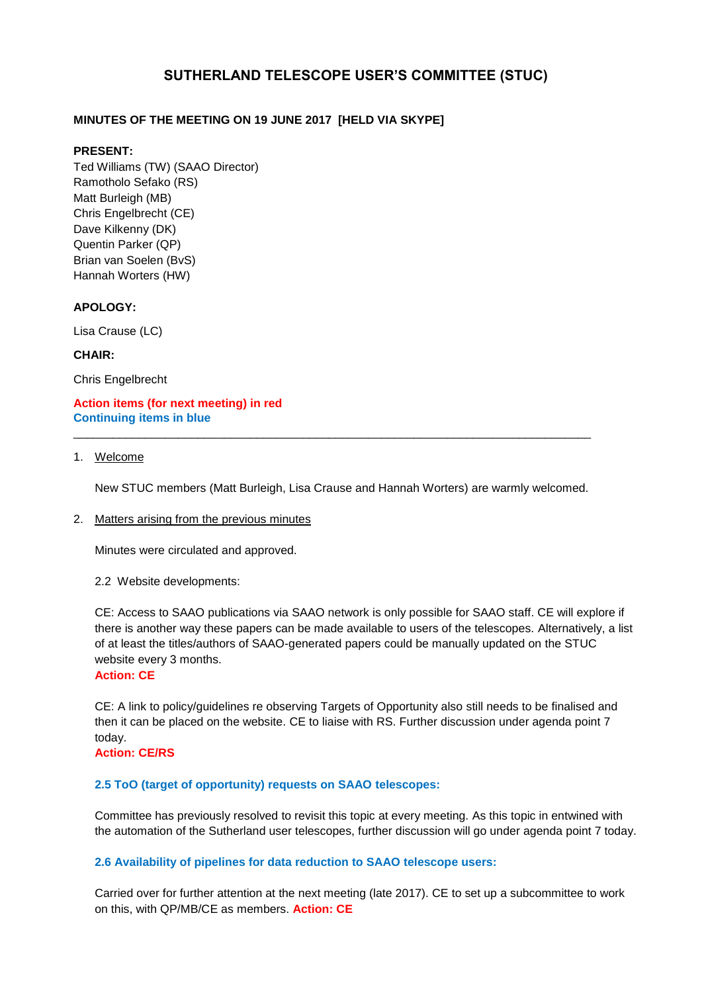# **SUTHERLAND TELESCOPE USER'S COMMITTEE (STUC)**

# **MINUTES OF THE MEETING ON 19 JUNE 2017 [HELD VIA SKYPE]**

### **PRESENT:**

Ted Williams (TW) (SAAO Director) Ramotholo Sefako (RS) Matt Burleigh (MB) Chris Engelbrecht (CE) Dave Kilkenny (DK) Quentin Parker (QP) Brian van Soelen (BvS) Hannah Worters (HW)

# **APOLOGY:**

Lisa Crause (LC)

# **CHAIR:**

Chris Engelbrecht

**Action items (for next meeting) in red Continuing items in blue**

### 1. Welcome

New STUC members (Matt Burleigh, Lisa Crause and Hannah Worters) are warmly welcomed.

\_\_\_\_\_\_\_\_\_\_\_\_\_\_\_\_\_\_\_\_\_\_\_\_\_\_\_\_\_\_\_\_\_\_\_\_\_\_\_\_\_\_\_\_\_\_\_\_\_\_\_\_\_\_\_\_\_\_\_\_\_\_\_\_\_\_\_\_\_\_\_\_\_\_\_\_\_\_\_

# 2. Matters arising from the previous minutes

Minutes were circulated and approved.

#### 2.2 Website developments:

CE: Access to SAAO publications via SAAO network is only possible for SAAO staff. CE will explore if there is another way these papers can be made available to users of the telescopes. Alternatively, a list of at least the titles/authors of SAAO-generated papers could be manually updated on the STUC website every 3 months.

#### **Action: CE**

CE: A link to policy/guidelines re observing Targets of Opportunity also still needs to be finalised and then it can be placed on the website. CE to liaise with RS. Further discussion under agenda point 7 today.

# **Action: CE/RS**

# **2.5 ToO (target of opportunity) requests on SAAO telescopes:**

Committee has previously resolved to revisit this topic at every meeting. As this topic in entwined with the automation of the Sutherland user telescopes, further discussion will go under agenda point 7 today.

# **2.6 Availability of pipelines for data reduction to SAAO telescope users:**

Carried over for further attention at the next meeting (late 2017). CE to set up a subcommittee to work on this, with QP/MB/CE as members. **Action: CE**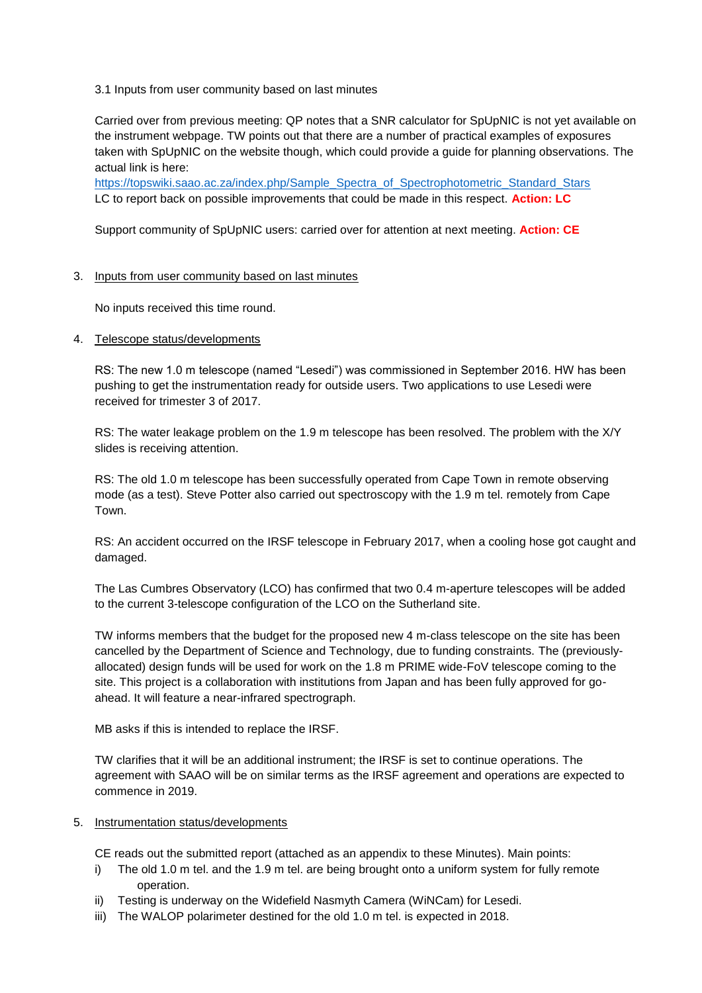3.1 Inputs from user community based on last minutes

Carried over from previous meeting: QP notes that a SNR calculator for SpUpNIC is not yet available on the instrument webpage. TW points out that there are a number of practical examples of exposures taken with SpUpNIC on the website though, which could provide a guide for planning observations. The actual link is here:

[https://topswiki.saao.ac.za/index.php/Sample\\_Spectra\\_of\\_Spectrophotometric\\_Standard\\_Stars](https://topswiki.saao.ac.za/index.php/Sample_Spectra_of_Spectrophotometric_Standard_Stars) LC to report back on possible improvements that could be made in this respect. **Action: LC**

Support community of SpUpNIC users: carried over for attention at next meeting. **Action: CE**

### 3. Inputs from user community based on last minutes

No inputs received this time round.

4. Telescope status/developments

RS: The new 1.0 m telescope (named "Lesedi") was commissioned in September 2016. HW has been pushing to get the instrumentation ready for outside users. Two applications to use Lesedi were received for trimester 3 of 2017.

RS: The water leakage problem on the 1.9 m telescope has been resolved. The problem with the X/Y slides is receiving attention.

RS: The old 1.0 m telescope has been successfully operated from Cape Town in remote observing mode (as a test). Steve Potter also carried out spectroscopy with the 1.9 m tel. remotely from Cape Town.

RS: An accident occurred on the IRSF telescope in February 2017, when a cooling hose got caught and damaged.

The Las Cumbres Observatory (LCO) has confirmed that two 0.4 m-aperture telescopes will be added to the current 3-telescope configuration of the LCO on the Sutherland site.

TW informs members that the budget for the proposed new 4 m-class telescope on the site has been cancelled by the Department of Science and Technology, due to funding constraints. The (previouslyallocated) design funds will be used for work on the 1.8 m PRIME wide-FoV telescope coming to the site. This project is a collaboration with institutions from Japan and has been fully approved for goahead. It will feature a near-infrared spectrograph.

MB asks if this is intended to replace the IRSF.

TW clarifies that it will be an additional instrument; the IRSF is set to continue operations. The agreement with SAAO will be on similar terms as the IRSF agreement and operations are expected to commence in 2019.

#### 5. Instrumentation status/developments

CE reads out the submitted report (attached as an appendix to these Minutes). Main points:

- i) The old 1.0 m tel. and the 1.9 m tel. are being brought onto a uniform system for fully remote operation.
- ii) Testing is underway on the Widefield Nasmyth Camera (WiNCam) for Lesedi.
- iii) The WALOP polarimeter destined for the old 1.0 m tel. is expected in 2018.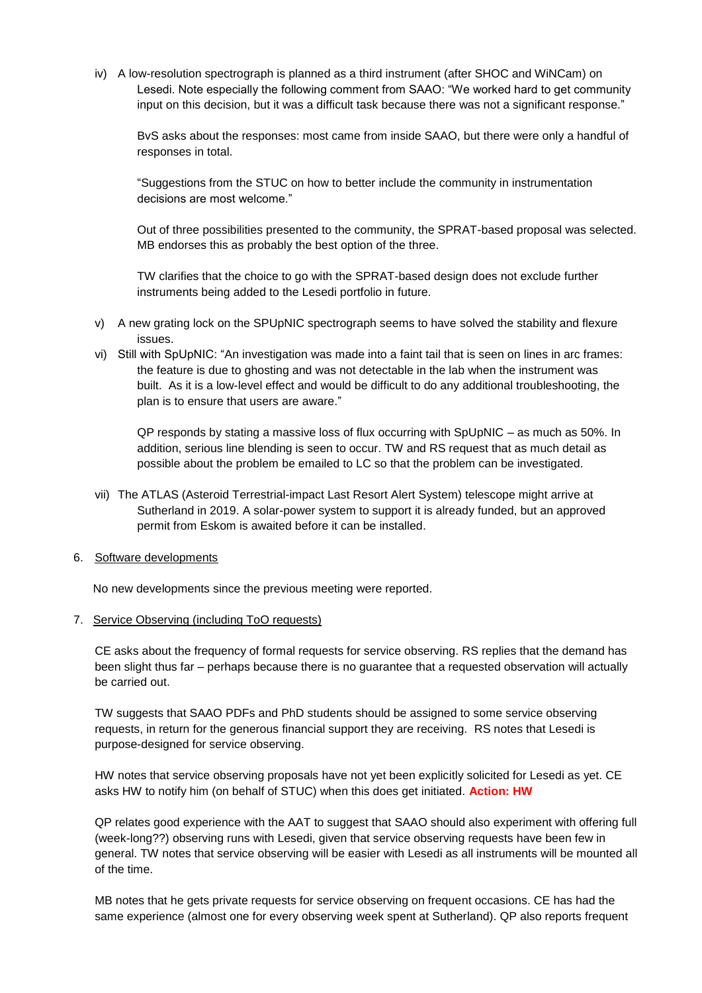iv) A low-resolution spectrograph is planned as a third instrument (after SHOC and WiNCam) on Lesedi. Note especially the following comment from SAAO: "We worked hard to get community input on this decision, but it was a difficult task because there was not a significant response."

BvS asks about the responses: most came from inside SAAO, but there were only a handful of responses in total.

"Suggestions from the STUC on how to better include the community in instrumentation decisions are most welcome."

Out of three possibilities presented to the community, the SPRAT-based proposal was selected. MB endorses this as probably the best option of the three.

TW clarifies that the choice to go with the SPRAT-based design does not exclude further instruments being added to the Lesedi portfolio in future.

- v) A new grating lock on the SPUpNIC spectrograph seems to have solved the stability and flexure issues.
- vi) Still with SpUpNIC: "An investigation was made into a faint tail that is seen on lines in arc frames: the feature is due to ghosting and was not detectable in the lab when the instrument was built. As it is a low-level effect and would be difficult to do any additional troubleshooting, the plan is to ensure that users are aware."

QP responds by stating a massive loss of flux occurring with SpUpNIC – as much as 50%. In addition, serious line blending is seen to occur. TW and RS request that as much detail as possible about the problem be emailed to LC so that the problem can be investigated.

vii) The ATLAS (Asteroid Terrestrial-impact Last Resort Alert System) telescope might arrive at Sutherland in 2019. A solar-power system to support it is already funded, but an approved permit from Eskom is awaited before it can be installed.

#### 6. Software developments

No new developments since the previous meeting were reported.

#### 7. Service Observing (including ToO requests)

CE asks about the frequency of formal requests for service observing. RS replies that the demand has been slight thus far – perhaps because there is no guarantee that a requested observation will actually be carried out.

TW suggests that SAAO PDFs and PhD students should be assigned to some service observing requests, in return for the generous financial support they are receiving. RS notes that Lesedi is purpose-designed for service observing.

HW notes that service observing proposals have not yet been explicitly solicited for Lesedi as yet. CE asks HW to notify him (on behalf of STUC) when this does get initiated. **Action: HW**

QP relates good experience with the AAT to suggest that SAAO should also experiment with offering full (week-long??) observing runs with Lesedi, given that service observing requests have been few in general. TW notes that service observing will be easier with Lesedi as all instruments will be mounted all of the time.

MB notes that he gets private requests for service observing on frequent occasions. CE has had the same experience (almost one for every observing week spent at Sutherland). QP also reports frequent